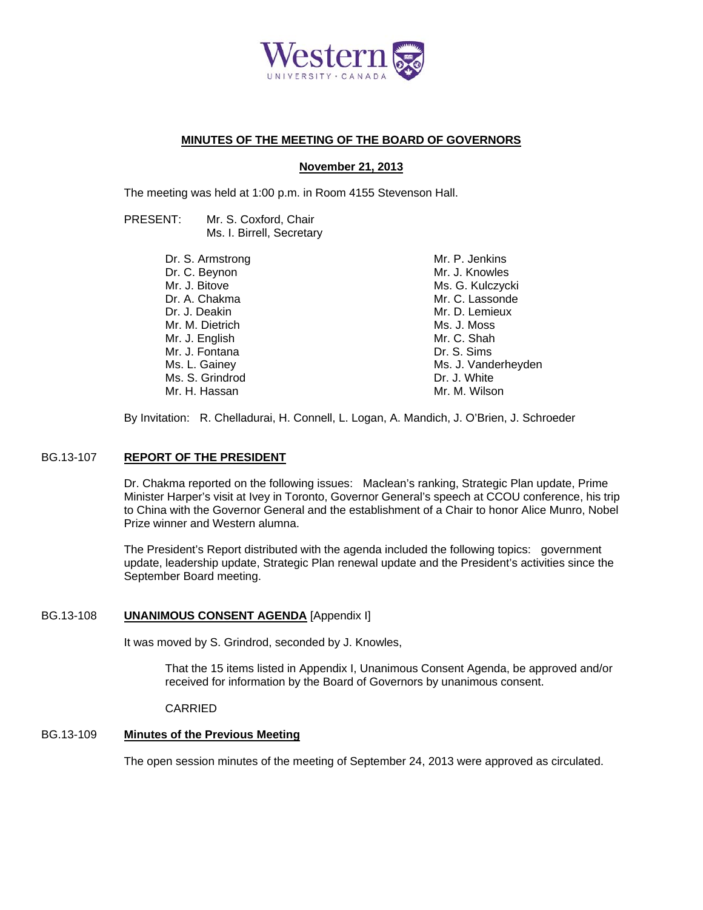

# **MINUTES OF THE MEETING OF THE BOARD OF GOVERNORS**

## **November 21, 2013**

The meeting was held at 1:00 p.m. in Room 4155 Stevenson Hall.

| PRESENT: | Mr. S. Coxford, Chair     |
|----------|---------------------------|
|          | Ms. I. Birrell, Secretary |

| Dr. S. Armstrong | Mr. P. Jenkins      |
|------------------|---------------------|
| Dr. C. Beynon    | Mr. J. Knowles      |
| Mr. J. Bitove    | Ms. G. Kulczycki    |
| Dr. A. Chakma    | Mr. C. Lassonde     |
| Dr. J. Deakin    | Mr. D. Lemieux      |
| Mr. M. Dietrich  | Ms. J. Moss         |
| Mr. J. English   | Mr. C. Shah         |
| Mr. J. Fontana   | Dr. S. Sims         |
| Ms. L. Gainey    | Ms. J. Vanderheyden |
| Ms. S. Grindrod  | Dr. J. White        |
| Mr. H. Hassan    | Mr. M. Wilson       |

By Invitation: R. Chelladurai, H. Connell, L. Logan, A. Mandich, J. O'Brien, J. Schroeder

## BG.13-107 **REPORT OF THE PRESIDENT**

Dr. Chakma reported on the following issues: Maclean's ranking, Strategic Plan update, Prime Minister Harper's visit at Ivey in Toronto, Governor General's speech at CCOU conference, his trip to China with the Governor General and the establishment of a Chair to honor Alice Munro, Nobel Prize winner and Western alumna.

The President's Report distributed with the agenda included the following topics: government update, leadership update, Strategic Plan renewal update and the President's activities since the September Board meeting.

## BG.13-108 **UNANIMOUS CONSENT AGENDA** [Appendix I]

It was moved by S. Grindrod, seconded by J. Knowles,

That the 15 items listed in Appendix I, Unanimous Consent Agenda, be approved and/or received for information by the Board of Governors by unanimous consent.

CARRIED

# BG.13-109 **Minutes of the Previous Meeting**

The open session minutes of the meeting of September 24, 2013 were approved as circulated.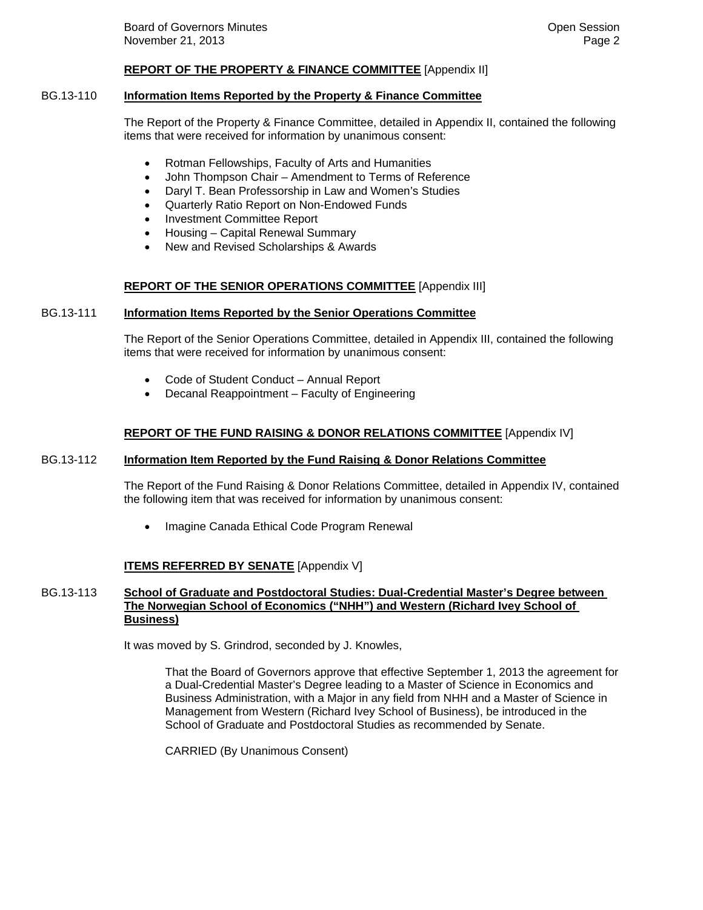## **REPORT OF THE PROPERTY & FINANCE COMMITTEE** [Appendix II]

## BG.13-110 **Information Items Reported by the Property & Finance Committee**

The Report of the Property & Finance Committee, detailed in Appendix II, contained the following items that were received for information by unanimous consent:

- Rotman Fellowships, Faculty of Arts and Humanities
- John Thompson Chair Amendment to Terms of Reference
- Daryl T. Bean Professorship in Law and Women's Studies
- Quarterly Ratio Report on Non-Endowed Funds
- Investment Committee Report
- Housing Capital Renewal Summary
- New and Revised Scholarships & Awards

## **REPORT OF THE SENIOR OPERATIONS COMMITTEE** [Appendix III]

#### BG.13-111 **Information Items Reported by the Senior Operations Committee**

The Report of the Senior Operations Committee, detailed in Appendix III, contained the following items that were received for information by unanimous consent:

- Code of Student Conduct Annual Report
- Decanal Reappointment Faculty of Engineering

## **REPORT OF THE FUND RAISING & DONOR RELATIONS COMMITTEE** [Appendix IV]

## BG.13-112 **Information Item Reported by the Fund Raising & Donor Relations Committee**

The Report of the Fund Raising & Donor Relations Committee, detailed in Appendix IV, contained the following item that was received for information by unanimous consent:

Imagine Canada Ethical Code Program Renewal

## **ITEMS REFERRED BY SENATE** [Appendix V]

## BG.13-113 **School of Graduate and Postdoctoral Studies: Dual-Credential Master's Degree between The Norwegian School of Economics ("NHH") and Western (Richard Ivey School of Business)**

It was moved by S. Grindrod, seconded by J. Knowles,

That the Board of Governors approve that effective September 1, 2013 the agreement for a Dual-Credential Master's Degree leading to a Master of Science in Economics and Business Administration, with a Major in any field from NHH and a Master of Science in Management from Western (Richard Ivey School of Business), be introduced in the School of Graduate and Postdoctoral Studies as recommended by Senate.

CARRIED (By Unanimous Consent)